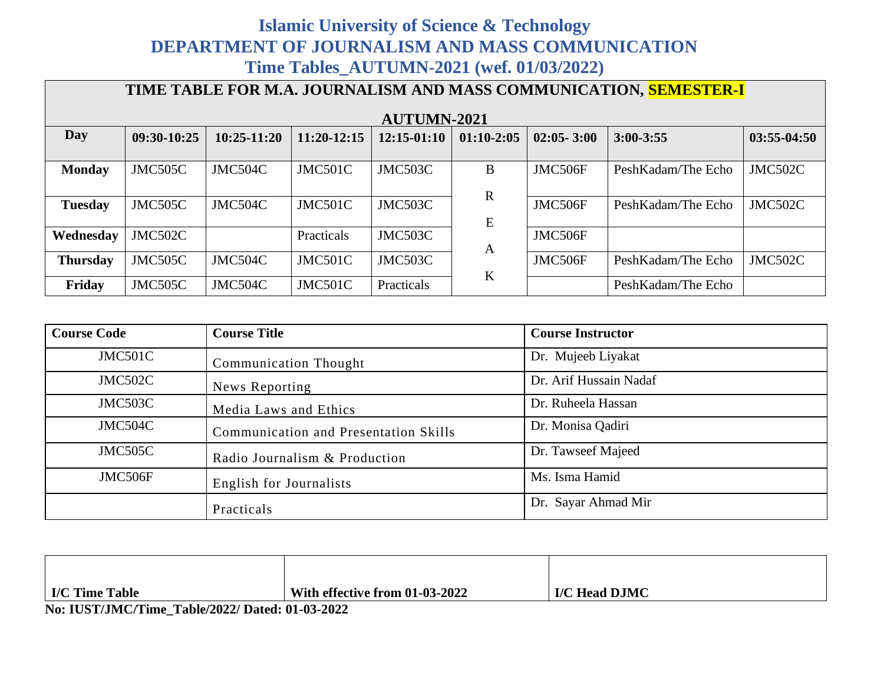## **Islamic University of Science & Technology DEPARTMENT OF JOURNALISM AND MASS COMMUNICATION Time Tables\_AUTUMN-2021 (wef. 01/03/2022)**

| TIME TABLE FOR M.A. JOURNALISM AND MASS COMMUNICATION, SEMESTER-I |                    |                 |               |               |              |                |                    |               |
|-------------------------------------------------------------------|--------------------|-----------------|---------------|---------------|--------------|----------------|--------------------|---------------|
|                                                                   | <b>AUTUMN-2021</b> |                 |               |               |              |                |                    |               |
| <b>Day</b>                                                        | 09:30-10:25        | $10:25 - 11:20$ | $11:20-12:15$ | $12:15-01:10$ | $01:10-2:05$ | $02:05 - 3:00$ | $3:00 - 3:55$      | $03:55-04:50$ |
|                                                                   |                    |                 |               |               |              |                |                    |               |
| <b>Monday</b>                                                     | JMC505C            | JMC504C         | JMC501C       | JMC503C       | B            | JMC506F        | PeshKadam/The Echo | JMC502C       |
|                                                                   |                    |                 |               |               | $\mathbf R$  |                |                    |               |
| <b>Tuesday</b>                                                    | JMC505C            | JMC504C         | JMC501C       | JMC503C       |              | JMC506F        | PeshKadam/The Echo | JMC502C       |
|                                                                   |                    |                 |               |               | E            |                |                    |               |
| Wednesday                                                         | JMC502C            |                 | Practicals    | JMC503C       |              | JMC506F        |                    |               |
|                                                                   |                    |                 |               |               | A            |                |                    |               |
| <b>Thursday</b>                                                   | JMC505C            | JMC504C         | JMC501C       | JMC503C       | $\bf K$      | JMC506F        | PeshKadam/The Echo | JMC502C       |
| Friday                                                            | JMC505C            | JMC504C         | JMC501C       | Practicals    |              |                | PeshKadam/The Echo |               |

| <b>Course Code</b> | <b>Course Title</b>                   | <b>Course Instructor</b> |
|--------------------|---------------------------------------|--------------------------|
| JMC501C            | <b>Communication Thought</b>          | Dr. Mujeeb Liyakat       |
| JMC502C            | News Reporting                        | Dr. Arif Hussain Nadaf   |
| JMC503C            | Media Laws and Ethics                 | Dr. Ruheela Hassan       |
| JMC504C            | Communication and Presentation Skills | Dr. Monisa Qadiri        |
| JMC505C            | Radio Journalism & Production         | Dr. Tawseef Majeed       |
| JMC506F            | English for Journalists               | Ms. Isma Hamid           |
|                    | Practicals                            | Dr. Sayar Ahmad Mir      |

| I/C Time Table                                  | With effective from 01-03-2022 | I/C Head DJMC |  |  |  |
|-------------------------------------------------|--------------------------------|---------------|--|--|--|
| No: IUST/JMC/Time Table/2022/ Dated: 01-03-2022 |                                |               |  |  |  |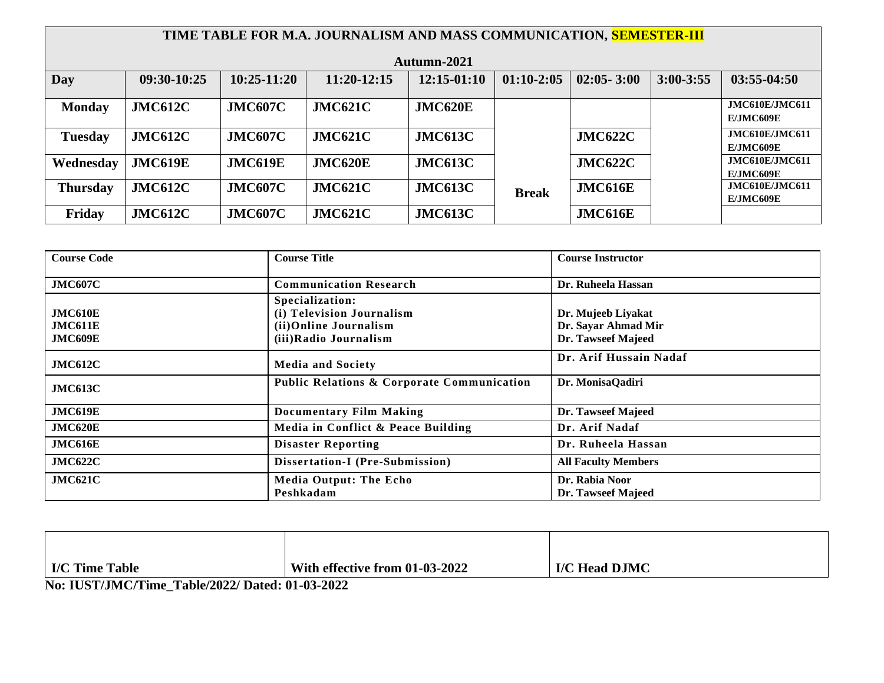|                 | TIME TABLE FOR M.A. JOURNALISM AND MASS COMMUNICATION, SEMESTER-III |                |                |                |              |                |               |                                           |
|-----------------|---------------------------------------------------------------------|----------------|----------------|----------------|--------------|----------------|---------------|-------------------------------------------|
|                 |                                                                     |                |                | Autumn-2021    |              |                |               |                                           |
| Day             | 09:30-10:25                                                         | $10:25-11:20$  | 11:20-12:15    | $12:15-01:10$  | $01:10-2:05$ | $02:05 - 3:00$ | $3:00 - 3:55$ | $03:55-04:50$                             |
| <b>Monday</b>   | <b>JMC612C</b>                                                      | <b>JMC607C</b> | <b>JMC621C</b> | <b>JMC620E</b> |              |                |               | <b>JMC610E/JMC611</b><br><b>E/JMC609E</b> |
| <b>Tuesday</b>  | <b>JMC612C</b>                                                      | <b>JMC607C</b> | JMC621C        | <b>JMC613C</b> |              | <b>JMC622C</b> |               | <b>JMC610E/JMC611</b><br><b>E/JMC609E</b> |
| Wednesday       | <b>JMC619E</b>                                                      | <b>JMC619E</b> | <b>JMC620E</b> | <b>JMC613C</b> |              | <b>JMC622C</b> |               | <b>JMC610E/JMC611</b><br><b>E/JMC609E</b> |
| <b>Thursday</b> | <b>JMC612C</b>                                                      | <b>JMC607C</b> | <b>JMC621C</b> | <b>JMC613C</b> | <b>Break</b> | <b>JMC616E</b> |               | JMC610E/JMC611<br><b>E/JMC609E</b>        |
| Friday          | <b>JMC612C</b>                                                      | <b>JMC607C</b> | <b>JMC621C</b> | <b>JMC613C</b> |              | <b>JMC616E</b> |               |                                           |

| <b>Course Code</b> | <b>Course Title</b>                                   | <b>Course Instructor</b>   |
|--------------------|-------------------------------------------------------|----------------------------|
| <b>JMC607C</b>     | <b>Communication Research</b>                         | Dr. Ruheela Hassan         |
|                    | Specialization:                                       |                            |
| JMC610E            | (i) Television Journalism                             | Dr. Mujeeb Liyakat         |
| JMC611E            | (ii) Online Journalism                                | Dr. Sayar Ahmad Mir        |
| <b>JMC609E</b>     | (iii) Radio Journalism                                | Dr. Tawseef Majeed         |
| JMC612C            | <b>Media and Society</b>                              | Dr. Arif Hussain Nadaf     |
| <b>JMC613C</b>     | <b>Public Relations &amp; Corporate Communication</b> | Dr. MonisaQadiri           |
| <b>JMC619E</b>     | <b>Documentary Film Making</b>                        | Dr. Tawseef Majeed         |
| JMC620E            | Media in Conflict & Peace Building                    | Dr. Arif Nadaf             |
| JMC616E            | <b>Disaster Reporting</b>                             | Dr. Ruheela Hassan         |
| <b>JMC622C</b>     | Dissertation-I (Pre-Submission)                       | <b>All Faculty Members</b> |
| JMC621C            | <b>Media Output: The Echo</b>                         | Dr. Rabia Noor             |
|                    | Peshkadam                                             | Dr. Tawseef Majeed         |

| I/C Time Table | With effective from 01-03-2022 | I/C Head DJMC |  |  |  |
|----------------|--------------------------------|---------------|--|--|--|
|                |                                |               |  |  |  |

**No: IUST/JMC/Time\_Table/2022/ Dated: 01-03-2022**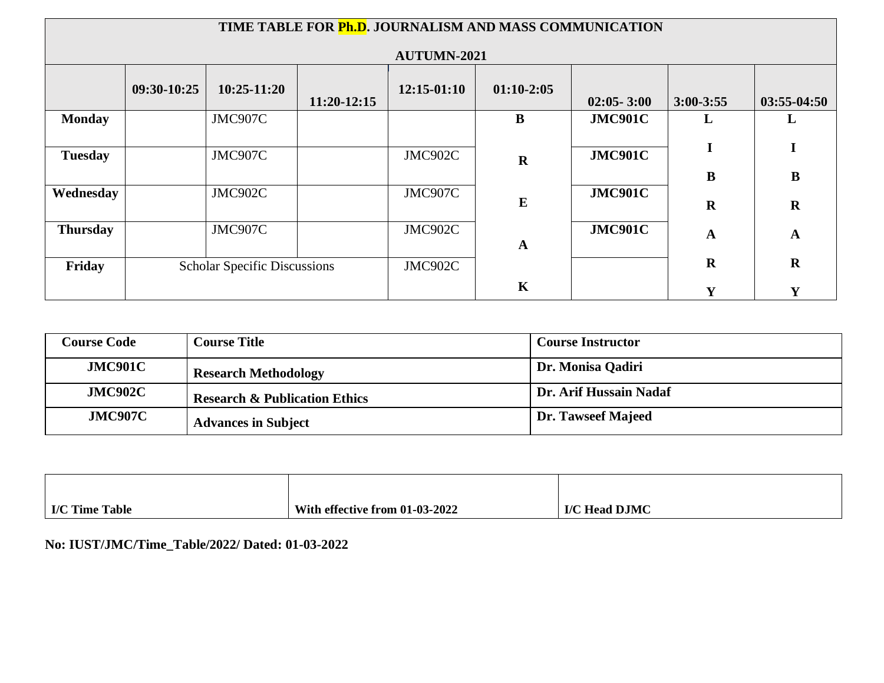|                 | TIME TABLE FOR Ph.D. JOURNALISM AND MASS COMMUNICATION |               |               |                    |              |                |                  |                         |
|-----------------|--------------------------------------------------------|---------------|---------------|--------------------|--------------|----------------|------------------|-------------------------|
|                 |                                                        |               |               | <b>AUTUMN-2021</b> |              |                |                  |                         |
|                 | 09:30-10:25                                            | $10:25-11:20$ | $11:20-12:15$ | $12:15-01:10$      | $01:10-2:05$ | $02:05 - 3:00$ | $3:00-3:55$      | $03:55-04:50$           |
| <b>Monday</b>   |                                                        | JMC907C       |               |                    | $\bf{B}$     | <b>JMC901C</b> | L                | L                       |
| <b>Tuesday</b>  |                                                        | JMC907C       |               | JMC902C            | $\mathbf R$  | <b>JMC901C</b> |                  | I                       |
| Wednesday       |                                                        | JMC902C       |               | JMC907C            | ${\bf E}$    | <b>JMC901C</b> | B<br>$\mathbf R$ | $\bf{B}$<br>$\mathbf R$ |
| <b>Thursday</b> |                                                        | JMC907C       |               | JMC902C            | $\mathbf A$  | <b>JMC901C</b> | A                | $\mathbf A$             |
| Friday          | <b>Scholar Specific Discussions</b>                    |               | JMC902C       |                    |              | $\mathbf R$    | $\mathbf R$      |                         |
|                 |                                                        |               |               |                    | $\mathbf K$  |                | $\mathbf v$      | Y                       |

| <b>Course Code</b> | <b>Course Title</b>                      | <b>Course Instructor</b>  |
|--------------------|------------------------------------------|---------------------------|
| JMC901C            | <b>Research Methodology</b>              | Dr. Monisa Qadiri         |
| <b>JMC902C</b>     | <b>Research &amp; Publication Ethics</b> | Dr. Arif Hussain Nadaf    |
| <b>JMC907C</b>     | <b>Advances in Subject</b>               | <b>Dr. Tawseef Majeed</b> |

| I/C Time Table | With effective from 01-03-2022 | I/C Head DJMC |
|----------------|--------------------------------|---------------|

**No: IUST/JMC/Time\_Table/2022/ Dated: 01-03-2022**